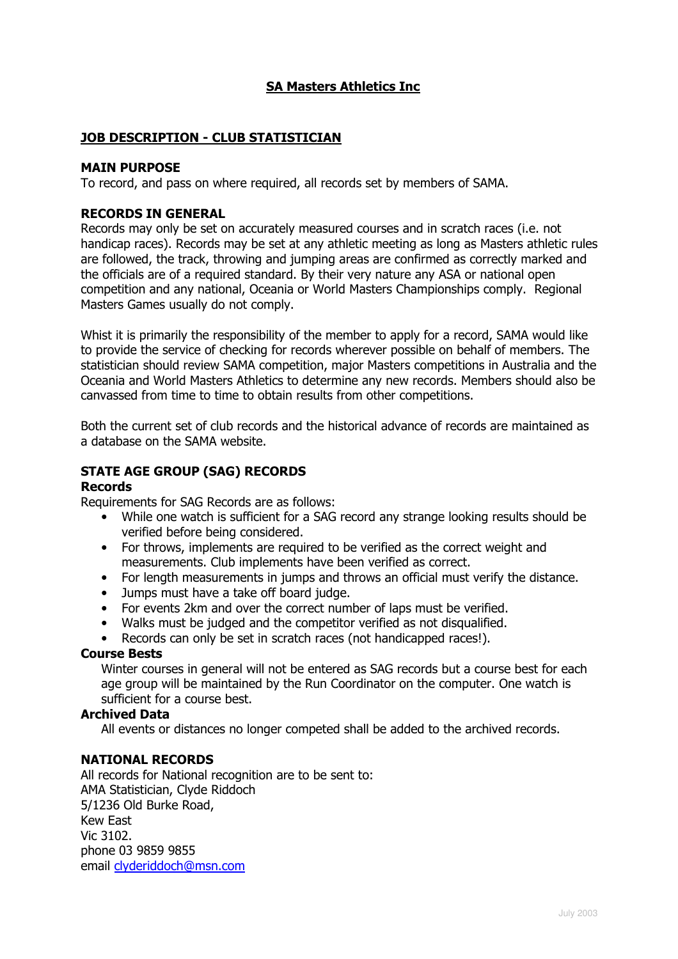# SA Masters Athletics Inc

## JOB DESCRIPTION - CLUB STATISTICIAN

#### MAIN PURPOSE

To record, and pass on where required, all records set by members of SAMA.

### RECORDS IN GENERAL

Records may only be set on accurately measured courses and in scratch races (i.e. not handicap races). Records may be set at any athletic meeting as long as Masters athletic rules are followed, the track, throwing and jumping areas are confirmed as correctly marked and the officials are of a required standard. By their very nature any ASA or national open competition and any national, Oceania or World Masters Championships comply. Regional Masters Games usually do not comply.

Whist it is primarily the responsibility of the member to apply for a record, SAMA would like to provide the service of checking for records wherever possible on behalf of members. The statistician should review SAMA competition, major Masters competitions in Australia and the Oceania and World Masters Athletics to determine any new records. Members should also be canvassed from time to time to obtain results from other competitions.

Both the current set of club records and the historical advance of records are maintained as a database on the SAMA website.

## STATE AGE GROUP (SAG) RECORDS

#### Records

Requirements for SAG Records are as follows:

- While one watch is sufficient for a SAG record any strange looking results should be verified before being considered.
- For throws, implements are required to be verified as the correct weight and measurements. Club implements have been verified as correct.
- For length measurements in jumps and throws an official must verify the distance.
- Jumps must have a take off board judge.
- For events 2km and over the correct number of laps must be verified.
- Walks must be judged and the competitor verified as not disqualified.

• Records can only be set in scratch races (not handicapped races!).

#### Course Bests

Winter courses in general will not be entered as SAG records but a course best for each age group will be maintained by the Run Coordinator on the computer. One watch is sufficient for a course best.

#### Archived Data

All events or distances no longer competed shall be added to the archived records.

## NATIONAL RECORDS

All records for National recognition are to be sent to: AMA Statistician, Clyde Riddoch 5/1236 Old Burke Road, Kew East Vic 3102. phone 03 9859 9855 email clyderiddoch@msn.com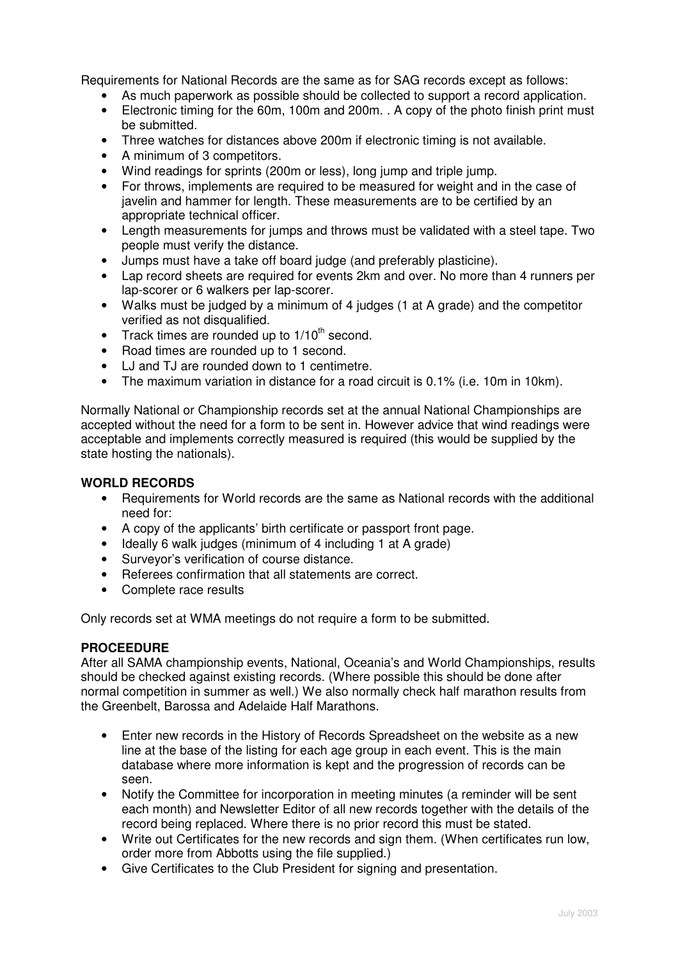Requirements for National Records are the same as for SAG records except as follows:

- As much paperwork as possible should be collected to support a record application.
- Electronic timing for the 60m, 100m and 200m. . A copy of the photo finish print must be submitted.
- Three watches for distances above 200m if electronic timing is not available.
- A minimum of 3 competitors.
- Wind readings for sprints (200m or less), long jump and triple jump.
- For throws, implements are required to be measured for weight and in the case of javelin and hammer for length. These measurements are to be certified by an appropriate technical officer.
- Length measurements for jumps and throws must be validated with a steel tape. Two people must verify the distance.
- Jumps must have a take off board judge (and preferably plasticine).
- Lap record sheets are required for events 2km and over. No more than 4 runners per lap-scorer or 6 walkers per lap-scorer.
- Walks must be judged by a minimum of 4 judges (1 at A grade) and the competitor verified as not disqualified.
- Track times are rounded up to  $1/10^{th}$  second.
- Road times are rounded up to 1 second.
- LJ and TJ are rounded down to 1 centimetre.
- The maximum variation in distance for a road circuit is 0.1% (i.e. 10m in 10km).

Normally National or Championship records set at the annual National Championships are accepted without the need for a form to be sent in. However advice that wind readings were acceptable and implements correctly measured is required (this would be supplied by the state hosting the nationals).

## **WORLD RECORDS**

- Requirements for World records are the same as National records with the additional need for:
- A copy of the applicants' birth certificate or passport front page.
- Ideally 6 walk judges (minimum of 4 including 1 at A grade)
- Surveyor's verification of course distance.
- Referees confirmation that all statements are correct.
- Complete race results

Only records set at WMA meetings do not require a form to be submitted.

## **PROCEEDURE**

After all SAMA championship events, National, Oceania's and World Championships, results should be checked against existing records. (Where possible this should be done after normal competition in summer as well.) We also normally check half marathon results from the Greenbelt, Barossa and Adelaide Half Marathons.

- Enter new records in the History of Records Spreadsheet on the website as a new line at the base of the listing for each age group in each event. This is the main database where more information is kept and the progression of records can be seen.
- Notify the Committee for incorporation in meeting minutes (a reminder will be sent each month) and Newsletter Editor of all new records together with the details of the record being replaced. Where there is no prior record this must be stated.
- Write out Certificates for the new records and sign them. (When certificates run low, order more from Abbotts using the file supplied.)
- Give Certificates to the Club President for signing and presentation.